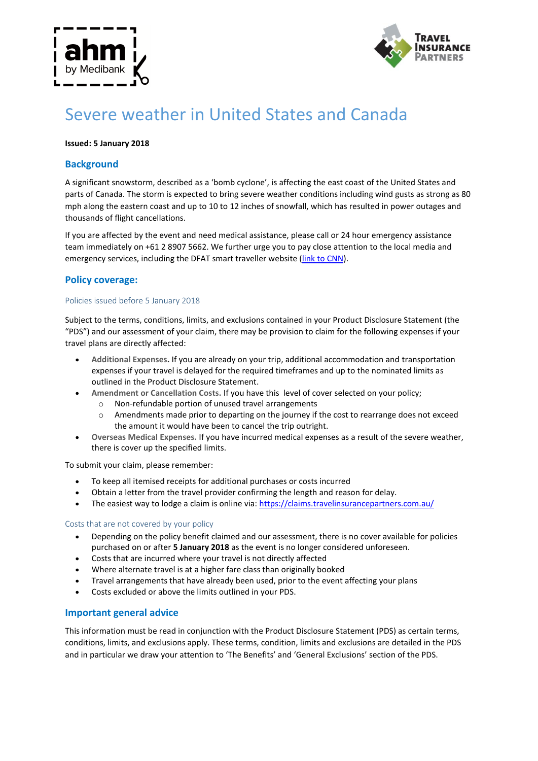



# Severe weather in United States and Canada

#### **Issued: 5 January 2018**

## **Background**

A significant snowstorm, described as a 'bomb cyclone', is affecting the east coast of the United States and parts of Canada. The storm is expected to bring severe weather conditions including wind gusts as strong as 80 mph along the eastern coast and up to 10 to 12 inches of snowfall, which has resulted in power outages and thousands of flight cancellations.

If you are affected by the event and need medical assistance, please call or 24 hour emergency assistance team immediately on +61 2 8907 5662. We further urge you to pay close attention to the local media and emergency services, including the DFAT smart traveller website [\(link to CNN\)](cnnhttp://edition.cnn.com/2018/01/04/us/cold-weather-arctic-outbreak/index.html).

## **Policy coverage:**

#### Policies issued before 5 January 2018

Subject to the terms, conditions, limits, and exclusions contained in your Product Disclosure Statement (the "PDS") and our assessment of your claim, there may be provision to claim for the following expenses if your travel plans are directly affected:

- **Additional Expenses.** If you are already on your trip, additional accommodation and transportation expenses if your travel is delayed for the required timeframes and up to the nominated limits as outlined in the Product Disclosure Statement.
- **Amendment or Cancellation Costs.** If you have this level of cover selected on your policy;
	- o Non-refundable portion of unused travel arrangements
	- o Amendments made prior to departing on the journey if the cost to rearrange does not exceed the amount it would have been to cancel the trip outright.
- **Overseas Medical Expenses.** If you have incurred medical expenses as a result of the severe weather, there is cover up the specified limits.

To submit your claim, please remember:

- To keep all itemised receipts for additional purchases or costs incurred
- Obtain a letter from the travel provider confirming the length and reason for delay.
- The easiest way to lodge a claim is online via: https://claims.travelinsurancepartners.com.au/

#### Costs that are not covered by your policy

- Depending on the policy benefit claimed and our assessment, there is no cover available for policies purchased on or after **5 January 2018** as the event is no longer considered unforeseen.
- Costs that are incurred where your travel is not directly affected
- Where alternate travel is at a higher fare class than originally booked
- Travel arrangements that have already been used, prior to the event affecting your plans
- Costs excluded or above the limits outlined in your PDS.

### **Important general advice**

This information must be read in conjunction with the Product Disclosure Statement (PDS) as certain terms, conditions, limits, and exclusions apply. These terms, condition, limits and exclusions are detailed in the PDS and in particular we draw your attention to 'The Benefits' and 'General Exclusions' section of the PDS.